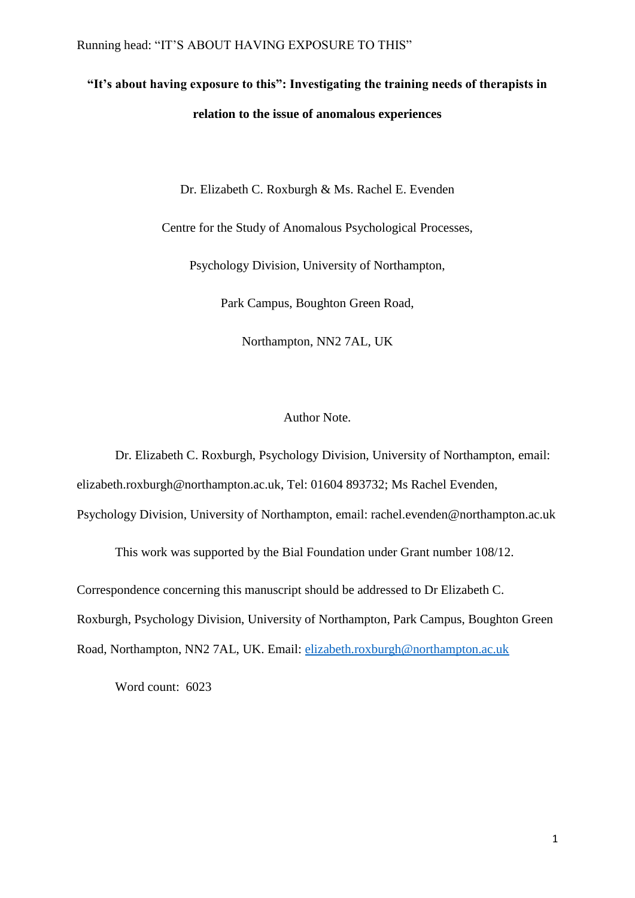# **"It's about having exposure to this": Investigating the training needs of therapists in relation to the issue of anomalous experiences**

Dr. Elizabeth C. Roxburgh & Ms. Rachel E. Evenden

Centre for the Study of Anomalous Psychological Processes,

Psychology Division, University of Northampton,

Park Campus, Boughton Green Road,

Northampton, NN2 7AL, UK

# Author Note.

Dr. Elizabeth C. Roxburgh, Psychology Division, University of Northampton, email: elizabeth.roxburgh@northampton.ac.uk, Tel: 01604 893732; Ms Rachel Evenden,

Psychology Division, University of Northampton, email: rachel.evenden@northampton.ac.uk

This work was supported by the Bial Foundation under Grant number 108/12.

Correspondence concerning this manuscript should be addressed to Dr Elizabeth C.

Roxburgh, Psychology Division, University of Northampton, Park Campus, Boughton Green

Road, Northampton, NN2 7AL, UK. Email: [elizabeth.roxburgh@northampton.ac.uk](mailto:elizabeth.roxburgh@northampton.ac.uk)

Word count: 6023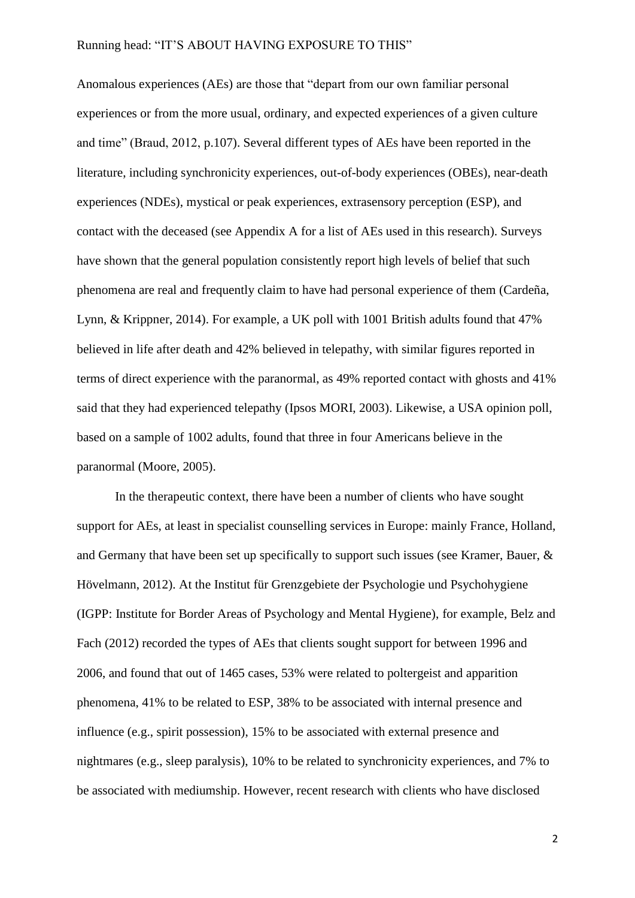Anomalous experiences (AEs) are those that "depart from our own familiar personal experiences or from the more usual, ordinary, and expected experiences of a given culture and time" (Braud, 2012, p.107). Several different types of AEs have been reported in the literature, including synchronicity experiences, out-of-body experiences (OBEs), near-death experiences (NDEs), mystical or peak experiences, extrasensory perception (ESP), and contact with the deceased (see Appendix A for a list of AEs used in this research). Surveys have shown that the general population consistently report high levels of belief that such phenomena are real and frequently claim to have had personal experience of them (Cardeña, Lynn, & Krippner, 2014). For example, a UK poll with 1001 British adults found that 47% believed in life after death and 42% believed in telepathy, with similar figures reported in terms of direct experience with the paranormal, as 49% reported contact with ghosts and 41% said that they had experienced telepathy (Ipsos MORI, 2003). Likewise, a USA opinion poll, based on a sample of 1002 adults, found that three in four Americans believe in the paranormal (Moore, 2005).

In the therapeutic context, there have been a number of clients who have sought support for AEs, at least in specialist counselling services in Europe: mainly France, Holland, and Germany that have been set up specifically to support such issues (see Kramer, Bauer, & Hövelmann, 2012). At the Institut für Grenzgebiete der Psychologie und Psychohygiene (IGPP: Institute for Border Areas of Psychology and Mental Hygiene), for example, Belz and Fach (2012) recorded the types of AEs that clients sought support for between 1996 and 2006, and found that out of 1465 cases, 53% were related to poltergeist and apparition phenomena, 41% to be related to ESP, 38% to be associated with internal presence and influence (e.g., spirit possession), 15% to be associated with external presence and nightmares (e.g., sleep paralysis), 10% to be related to synchronicity experiences, and 7% to be associated with mediumship. However, recent research with clients who have disclosed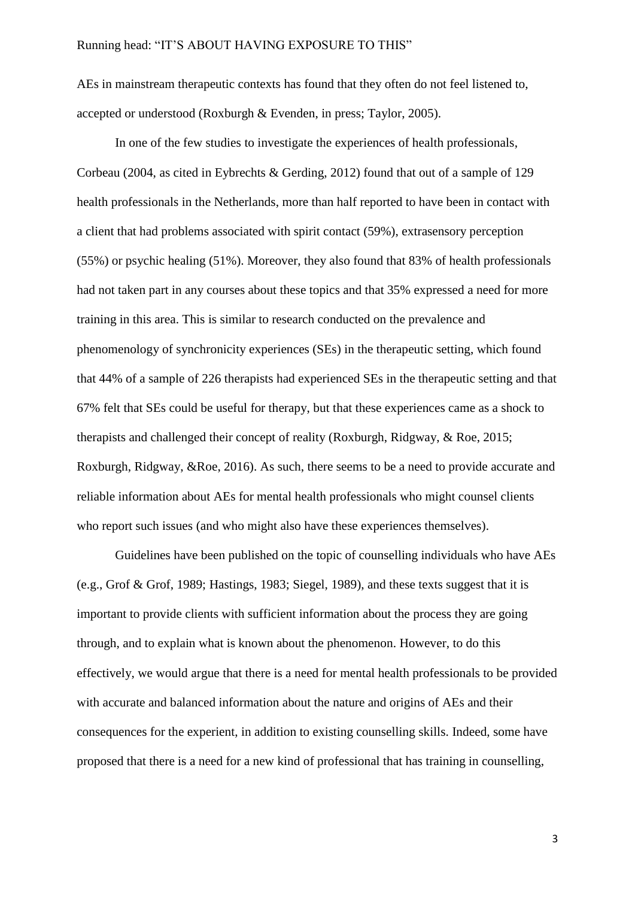AEs in mainstream therapeutic contexts has found that they often do not feel listened to, accepted or understood (Roxburgh & Evenden, in press; Taylor, 2005).

In one of the few studies to investigate the experiences of health professionals, Corbeau (2004, as cited in Eybrechts & Gerding, 2012) found that out of a sample of 129 health professionals in the Netherlands, more than half reported to have been in contact with a client that had problems associated with spirit contact (59%), extrasensory perception (55%) or psychic healing (51%). Moreover, they also found that 83% of health professionals had not taken part in any courses about these topics and that 35% expressed a need for more training in this area. This is similar to research conducted on the prevalence and phenomenology of synchronicity experiences (SEs) in the therapeutic setting, which found that 44% of a sample of 226 therapists had experienced SEs in the therapeutic setting and that 67% felt that SEs could be useful for therapy, but that these experiences came as a shock to therapists and challenged their concept of reality (Roxburgh, Ridgway, & Roe, 2015; Roxburgh, Ridgway, &Roe, 2016). As such, there seems to be a need to provide accurate and reliable information about AEs for mental health professionals who might counsel clients who report such issues (and who might also have these experiences themselves).

Guidelines have been published on the topic of counselling individuals who have AEs (e.g., Grof & Grof, 1989; Hastings, 1983; Siegel, 1989), and these texts suggest that it is important to provide clients with sufficient information about the process they are going through, and to explain what is known about the phenomenon. However, to do this effectively, we would argue that there is a need for mental health professionals to be provided with accurate and balanced information about the nature and origins of AEs and their consequences for the experient, in addition to existing counselling skills. Indeed, some have proposed that there is a need for a new kind of professional that has training in counselling,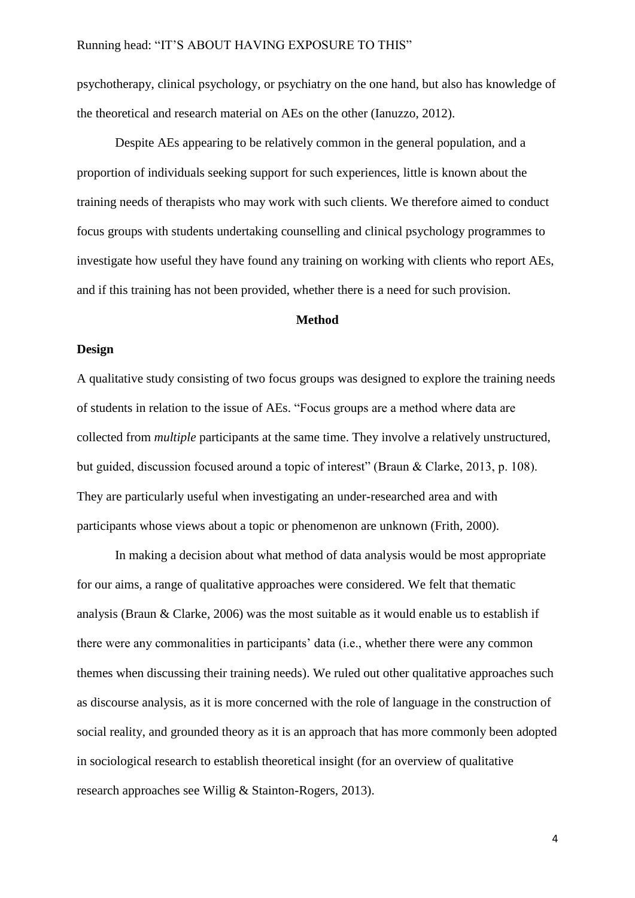psychotherapy, clinical psychology, or psychiatry on the one hand, but also has knowledge of the theoretical and research material on AEs on the other (Ianuzzo, 2012).

Despite AEs appearing to be relatively common in the general population, and a proportion of individuals seeking support for such experiences, little is known about the training needs of therapists who may work with such clients. We therefore aimed to conduct focus groups with students undertaking counselling and clinical psychology programmes to investigate how useful they have found any training on working with clients who report AEs, and if this training has not been provided, whether there is a need for such provision.

#### **Method**

#### **Design**

A qualitative study consisting of two focus groups was designed to explore the training needs of students in relation to the issue of AEs. "Focus groups are a method where data are collected from *multiple* participants at the same time. They involve a relatively unstructured, but guided, discussion focused around a topic of interest" (Braun & Clarke, 2013, p. 108). They are particularly useful when investigating an under-researched area and with participants whose views about a topic or phenomenon are unknown (Frith, 2000).

In making a decision about what method of data analysis would be most appropriate for our aims, a range of qualitative approaches were considered. We felt that thematic analysis (Braun & Clarke, 2006) was the most suitable as it would enable us to establish if there were any commonalities in participants' data (i.e., whether there were any common themes when discussing their training needs). We ruled out other qualitative approaches such as discourse analysis, as it is more concerned with the role of language in the construction of social reality, and grounded theory as it is an approach that has more commonly been adopted in sociological research to establish theoretical insight (for an overview of qualitative research approaches see Willig & Stainton-Rogers, 2013).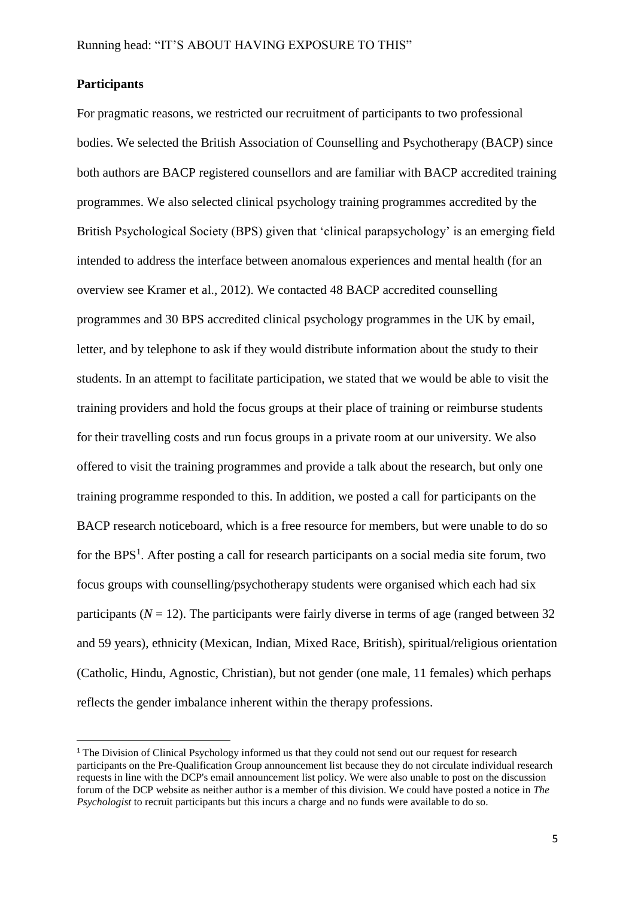# **Participants**

 $\overline{a}$ 

For pragmatic reasons, we restricted our recruitment of participants to two professional bodies. We selected the British Association of Counselling and Psychotherapy (BACP) since both authors are BACP registered counsellors and are familiar with BACP accredited training programmes. We also selected clinical psychology training programmes accredited by the British Psychological Society (BPS) given that 'clinical parapsychology' is an emerging field intended to address the interface between anomalous experiences and mental health (for an overview see Kramer et al., 2012). We contacted 48 BACP accredited counselling programmes and 30 BPS accredited clinical psychology programmes in the UK by email, letter, and by telephone to ask if they would distribute information about the study to their students. In an attempt to facilitate participation, we stated that we would be able to visit the training providers and hold the focus groups at their place of training or reimburse students for their travelling costs and run focus groups in a private room at our university. We also offered to visit the training programmes and provide a talk about the research, but only one training programme responded to this. In addition, we posted a call for participants on the BACP research noticeboard, which is a free resource for members, but were unable to do so for the BPS<sup>1</sup>. After posting a call for research participants on a social media site forum, two focus groups with counselling/psychotherapy students were organised which each had six participants  $(N = 12)$ . The participants were fairly diverse in terms of age (ranged between 32) and 59 years), ethnicity (Mexican, Indian, Mixed Race, British), spiritual/religious orientation (Catholic, Hindu, Agnostic, Christian), but not gender (one male, 11 females) which perhaps reflects the gender imbalance inherent within the therapy professions.

<sup>&</sup>lt;sup>1</sup> The Division of Clinical Psychology informed us that they could not send out our request for research participants on the Pre-Qualification Group announcement list because they do not circulate individual research requests in line with the DCP's email announcement list policy. We were also unable to post on the discussion forum of the DCP website as neither author is a member of this division. We could have posted a notice in *The Psychologist* to recruit participants but this incurs a charge and no funds were available to do so.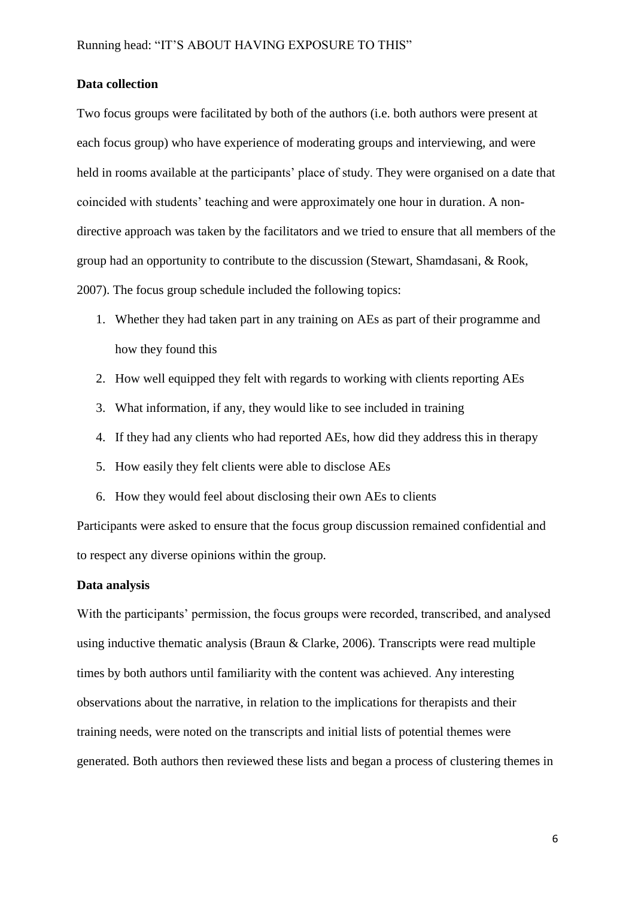# **Data collection**

Two focus groups were facilitated by both of the authors (i.e. both authors were present at each focus group) who have experience of moderating groups and interviewing, and were held in rooms available at the participants' place of study. They were organised on a date that coincided with students' teaching and were approximately one hour in duration. A nondirective approach was taken by the facilitators and we tried to ensure that all members of the group had an opportunity to contribute to the discussion (Stewart, Shamdasani, & Rook, 2007). The focus group schedule included the following topics:

- 1. Whether they had taken part in any training on AEs as part of their programme and how they found this
- 2. How well equipped they felt with regards to working with clients reporting AEs
- 3. What information, if any, they would like to see included in training
- 4. If they had any clients who had reported AEs, how did they address this in therapy
- 5. How easily they felt clients were able to disclose AEs
- 6. How they would feel about disclosing their own AEs to clients

Participants were asked to ensure that the focus group discussion remained confidential and to respect any diverse opinions within the group.

# **Data analysis**

With the participants' permission, the focus groups were recorded, transcribed, and analysed using inductive thematic analysis (Braun  $\&$  Clarke, 2006). Transcripts were read multiple times by both authors until familiarity with the content was achieved. Any interesting observations about the narrative, in relation to the implications for therapists and their training needs, were noted on the transcripts and initial lists of potential themes were generated. Both authors then reviewed these lists and began a process of clustering themes in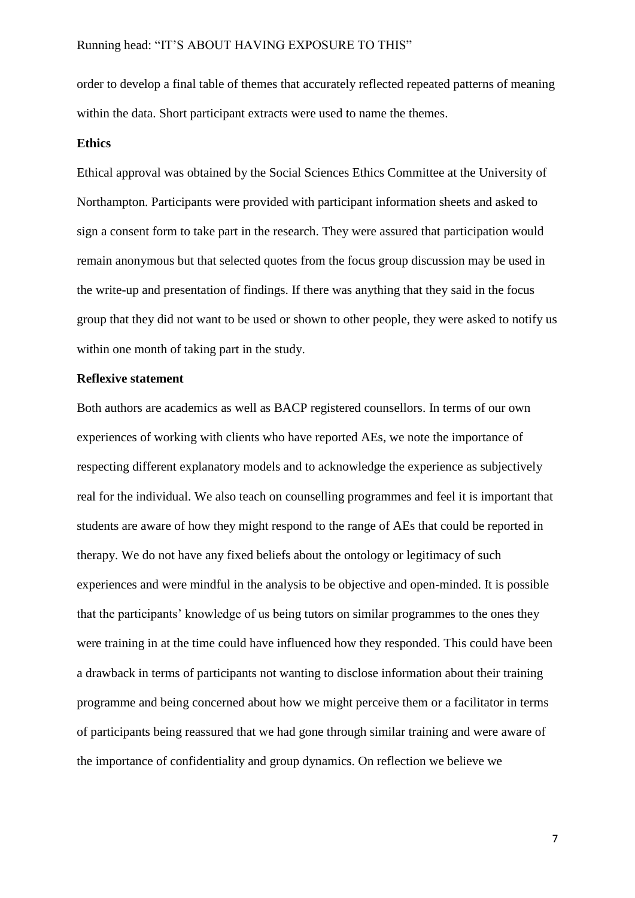order to develop a final table of themes that accurately reflected repeated patterns of meaning within the data. Short participant extracts were used to name the themes.

#### **Ethics**

Ethical approval was obtained by the Social Sciences Ethics Committee at the University of Northampton. Participants were provided with participant information sheets and asked to sign a consent form to take part in the research. They were assured that participation would remain anonymous but that selected quotes from the focus group discussion may be used in the write-up and presentation of findings. If there was anything that they said in the focus group that they did not want to be used or shown to other people, they were asked to notify us within one month of taking part in the study.

# **Reflexive statement**

Both authors are academics as well as BACP registered counsellors. In terms of our own experiences of working with clients who have reported AEs, we note the importance of respecting different explanatory models and to acknowledge the experience as subjectively real for the individual. We also teach on counselling programmes and feel it is important that students are aware of how they might respond to the range of AEs that could be reported in therapy. We do not have any fixed beliefs about the ontology or legitimacy of such experiences and were mindful in the analysis to be objective and open-minded. It is possible that the participants' knowledge of us being tutors on similar programmes to the ones they were training in at the time could have influenced how they responded. This could have been a drawback in terms of participants not wanting to disclose information about their training programme and being concerned about how we might perceive them or a facilitator in terms of participants being reassured that we had gone through similar training and were aware of the importance of confidentiality and group dynamics. On reflection we believe we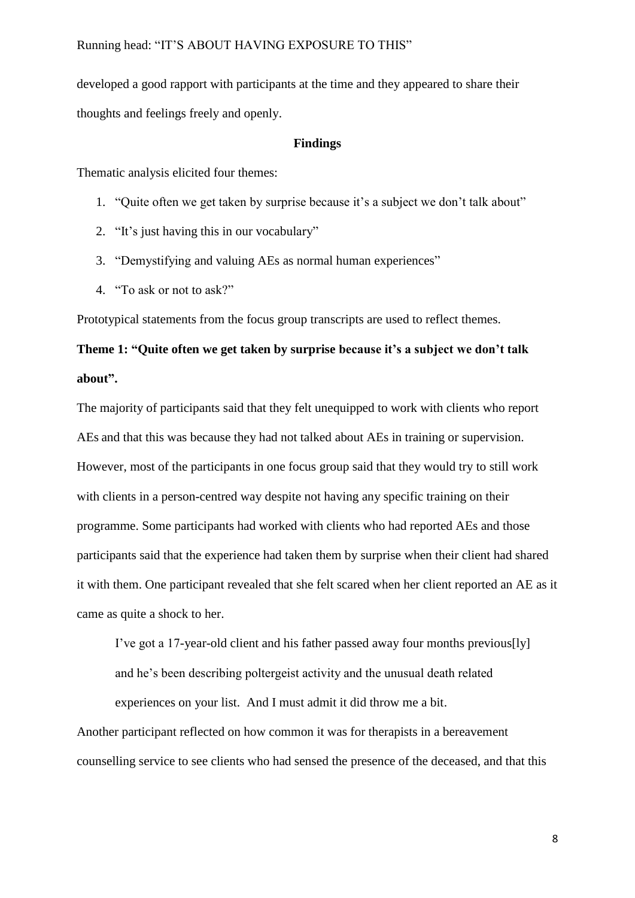developed a good rapport with participants at the time and they appeared to share their thoughts and feelings freely and openly.

#### **Findings**

Thematic analysis elicited four themes:

- 1. "Quite often we get taken by surprise because it's a subject we don't talk about"
- 2. "It's just having this in our vocabulary"
- 3. "Demystifying and valuing AEs as normal human experiences"
- 4. "To ask or not to ask?"

Prototypical statements from the focus group transcripts are used to reflect themes.

# **Theme 1: "Quite often we get taken by surprise because it's a subject we don't talk about".**

The majority of participants said that they felt unequipped to work with clients who report AEs and that this was because they had not talked about AEs in training or supervision. However, most of the participants in one focus group said that they would try to still work with clients in a person-centred way despite not having any specific training on their programme. Some participants had worked with clients who had reported AEs and those participants said that the experience had taken them by surprise when their client had shared it with them. One participant revealed that she felt scared when her client reported an AE as it came as quite a shock to her.

I've got a 17-year-old client and his father passed away four months previous[ly]

and he's been describing poltergeist activity and the unusual death related

experiences on your list. And I must admit it did throw me a bit.

Another participant reflected on how common it was for therapists in a bereavement counselling service to see clients who had sensed the presence of the deceased, and that this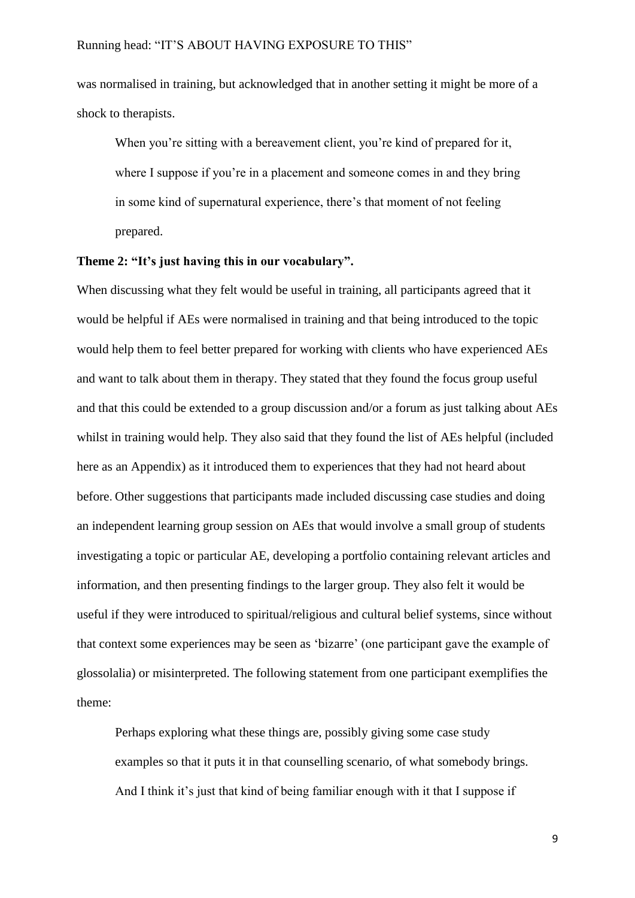was normalised in training, but acknowledged that in another setting it might be more of a shock to therapists.

When you're sitting with a bereavement client, you're kind of prepared for it, where I suppose if you're in a placement and someone comes in and they bring in some kind of supernatural experience, there's that moment of not feeling prepared.

#### **Theme 2: "It's just having this in our vocabulary".**

When discussing what they felt would be useful in training, all participants agreed that it would be helpful if AEs were normalised in training and that being introduced to the topic would help them to feel better prepared for working with clients who have experienced AEs and want to talk about them in therapy. They stated that they found the focus group useful and that this could be extended to a group discussion and/or a forum as just talking about AEs whilst in training would help. They also said that they found the list of AEs helpful (included here as an Appendix) as it introduced them to experiences that they had not heard about before. Other suggestions that participants made included discussing case studies and doing an independent learning group session on AEs that would involve a small group of students investigating a topic or particular AE, developing a portfolio containing relevant articles and information, and then presenting findings to the larger group. They also felt it would be useful if they were introduced to spiritual/religious and cultural belief systems, since without that context some experiences may be seen as 'bizarre' (one participant gave the example of glossolalia) or misinterpreted. The following statement from one participant exemplifies the theme:

Perhaps exploring what these things are, possibly giving some case study examples so that it puts it in that counselling scenario, of what somebody brings. And I think it's just that kind of being familiar enough with it that I suppose if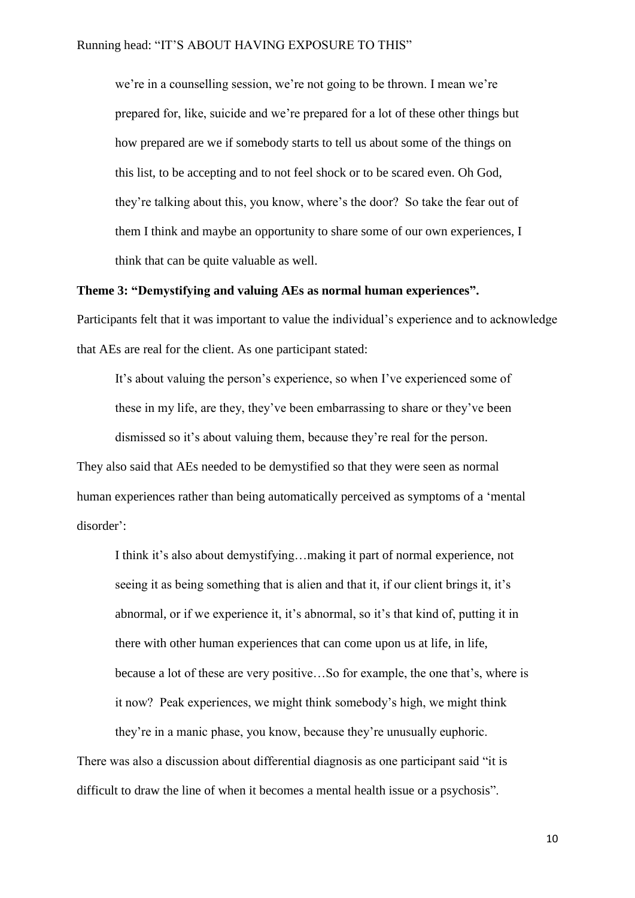we're in a counselling session, we're not going to be thrown. I mean we're prepared for, like, suicide and we're prepared for a lot of these other things but how prepared are we if somebody starts to tell us about some of the things on this list, to be accepting and to not feel shock or to be scared even. Oh God, they're talking about this, you know, where's the door? So take the fear out of them I think and maybe an opportunity to share some of our own experiences, I think that can be quite valuable as well.

#### **Theme 3: "Demystifying and valuing AEs as normal human experiences".**

Participants felt that it was important to value the individual's experience and to acknowledge that AEs are real for the client. As one participant stated:

It's about valuing the person's experience, so when I've experienced some of these in my life, are they, they've been embarrassing to share or they've been dismissed so it's about valuing them, because they're real for the person. They also said that AEs needed to be demystified so that they were seen as normal

human experiences rather than being automatically perceived as symptoms of a 'mental disorder':

I think it's also about demystifying…making it part of normal experience, not seeing it as being something that is alien and that it, if our client brings it, it's abnormal, or if we experience it, it's abnormal, so it's that kind of, putting it in there with other human experiences that can come upon us at life, in life, because a lot of these are very positive…So for example, the one that's, where is it now? Peak experiences, we might think somebody's high, we might think they're in a manic phase, you know, because they're unusually euphoric.

There was also a discussion about differential diagnosis as one participant said "it is difficult to draw the line of when it becomes a mental health issue or a psychosis".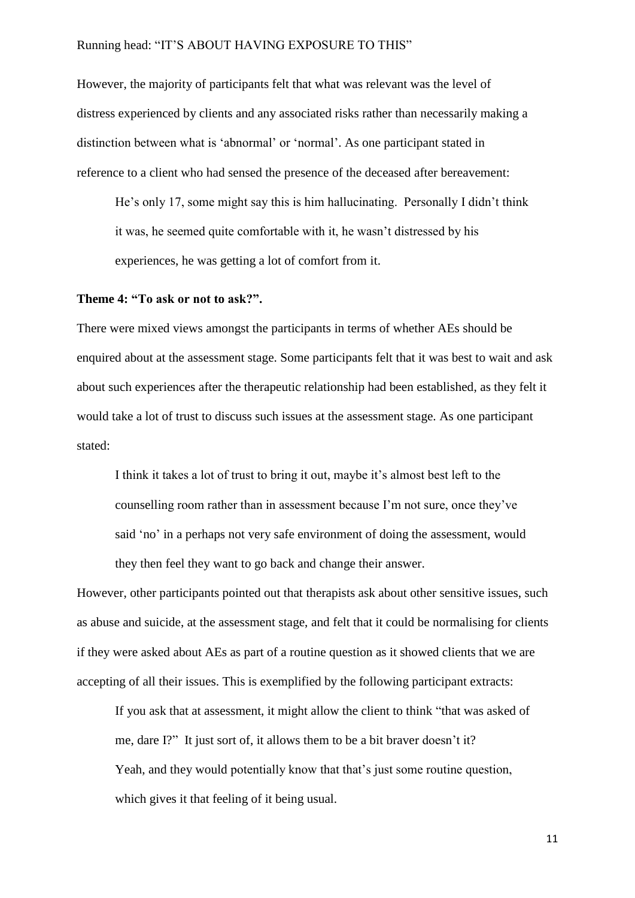However, the majority of participants felt that what was relevant was the level of distress experienced by clients and any associated risks rather than necessarily making a distinction between what is 'abnormal' or 'normal'. As one participant stated in reference to a client who had sensed the presence of the deceased after bereavement:

He's only 17, some might say this is him hallucinating. Personally I didn't think it was, he seemed quite comfortable with it, he wasn't distressed by his experiences, he was getting a lot of comfort from it.

# **Theme 4: "To ask or not to ask?".**

There were mixed views amongst the participants in terms of whether AEs should be enquired about at the assessment stage. Some participants felt that it was best to wait and ask about such experiences after the therapeutic relationship had been established, as they felt it would take a lot of trust to discuss such issues at the assessment stage. As one participant stated:

I think it takes a lot of trust to bring it out, maybe it's almost best left to the counselling room rather than in assessment because I'm not sure, once they've said 'no' in a perhaps not very safe environment of doing the assessment, would they then feel they want to go back and change their answer.

However, other participants pointed out that therapists ask about other sensitive issues, such as abuse and suicide, at the assessment stage, and felt that it could be normalising for clients if they were asked about AEs as part of a routine question as it showed clients that we are accepting of all their issues. This is exemplified by the following participant extracts:

If you ask that at assessment, it might allow the client to think "that was asked of me, dare I?" It just sort of, it allows them to be a bit braver doesn't it? Yeah, and they would potentially know that that's just some routine question, which gives it that feeling of it being usual.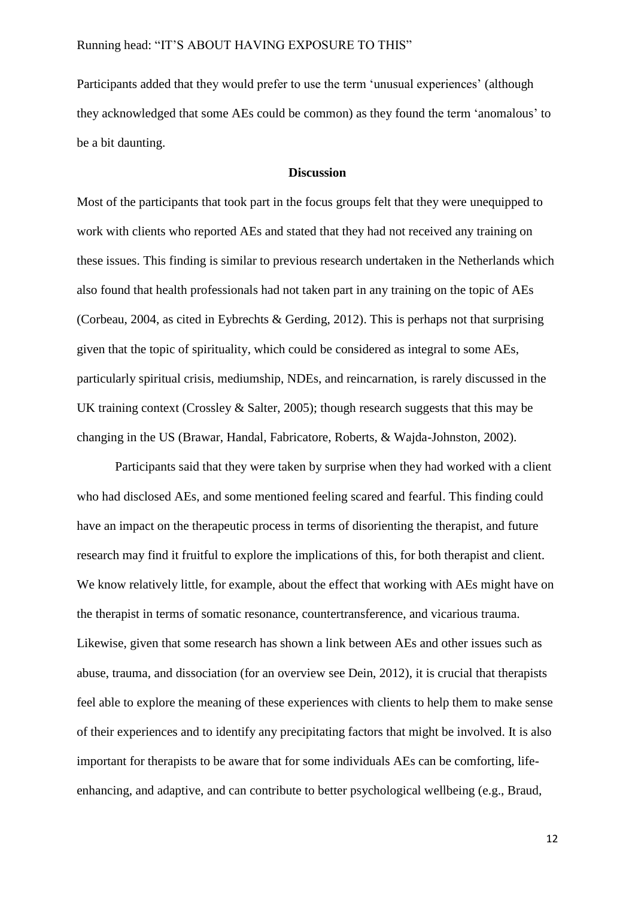Participants added that they would prefer to use the term 'unusual experiences' (although they acknowledged that some AEs could be common) as they found the term 'anomalous' to be a bit daunting.

# **Discussion**

Most of the participants that took part in the focus groups felt that they were unequipped to work with clients who reported AEs and stated that they had not received any training on these issues. This finding is similar to previous research undertaken in the Netherlands which also found that health professionals had not taken part in any training on the topic of AEs (Corbeau, 2004, as cited in Eybrechts & Gerding, 2012). This is perhaps not that surprising given that the topic of spirituality, which could be considered as integral to some AEs, particularly spiritual crisis, mediumship, NDEs, and reincarnation, is rarely discussed in the UK training context (Crossley & Salter, 2005); though research suggests that this may be changing in the US (Brawar, Handal, Fabricatore, Roberts, & Wajda-Johnston, 2002).

Participants said that they were taken by surprise when they had worked with a client who had disclosed AEs, and some mentioned feeling scared and fearful. This finding could have an impact on the therapeutic process in terms of disorienting the therapist, and future research may find it fruitful to explore the implications of this, for both therapist and client. We know relatively little, for example, about the effect that working with AEs might have on the therapist in terms of somatic resonance, countertransference, and vicarious trauma. Likewise, given that some research has shown a link between AEs and other issues such as abuse, trauma, and dissociation (for an overview see Dein, 2012), it is crucial that therapists feel able to explore the meaning of these experiences with clients to help them to make sense of their experiences and to identify any precipitating factors that might be involved. It is also important for therapists to be aware that for some individuals AEs can be comforting, lifeenhancing, and adaptive, and can contribute to better psychological wellbeing (e.g., Braud,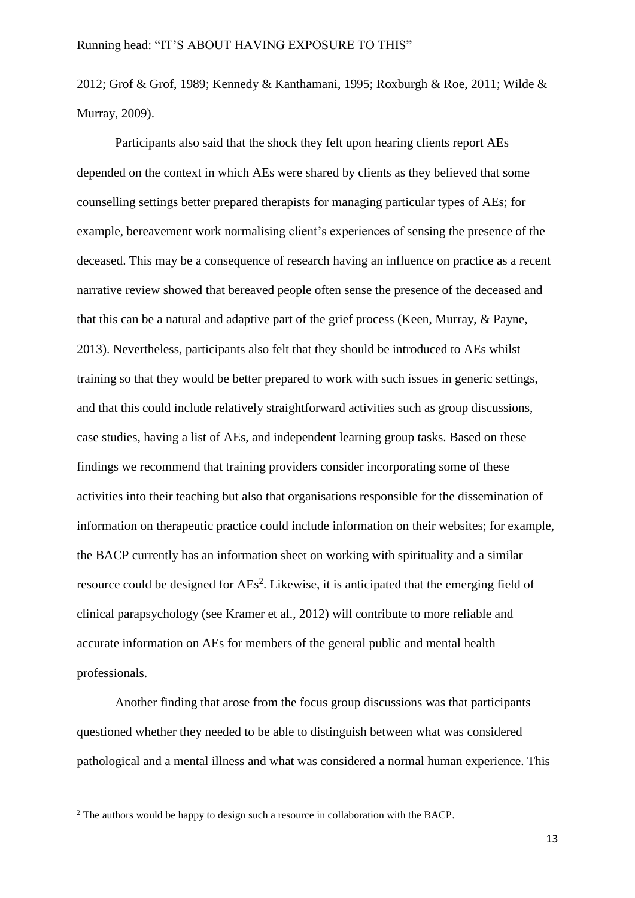2012; Grof & Grof, 1989; Kennedy & Kanthamani, 1995; Roxburgh & Roe, 2011; Wilde & Murray, 2009).

Participants also said that the shock they felt upon hearing clients report AEs depended on the context in which AEs were shared by clients as they believed that some counselling settings better prepared therapists for managing particular types of AEs; for example, bereavement work normalising client's experiences of sensing the presence of the deceased. This may be a consequence of research having an influence on practice as a recent narrative review showed that bereaved people often sense the presence of the deceased and that this can be a natural and adaptive part of the grief process (Keen, Murray, & Payne, 2013). Nevertheless, participants also felt that they should be introduced to AEs whilst training so that they would be better prepared to work with such issues in generic settings, and that this could include relatively straightforward activities such as group discussions, case studies, having a list of AEs, and independent learning group tasks. Based on these findings we recommend that training providers consider incorporating some of these activities into their teaching but also that organisations responsible for the dissemination of information on therapeutic practice could include information on their websites; for example, the BACP currently has an information sheet on working with spirituality and a similar resource could be designed for  $\text{AEs}^2$ . Likewise, it is anticipated that the emerging field of clinical parapsychology (see Kramer et al., 2012) will contribute to more reliable and accurate information on AEs for members of the general public and mental health professionals.

Another finding that arose from the focus group discussions was that participants questioned whether they needed to be able to distinguish between what was considered pathological and a mental illness and what was considered a normal human experience. This

**.** 

<sup>&</sup>lt;sup>2</sup> The authors would be happy to design such a resource in collaboration with the BACP.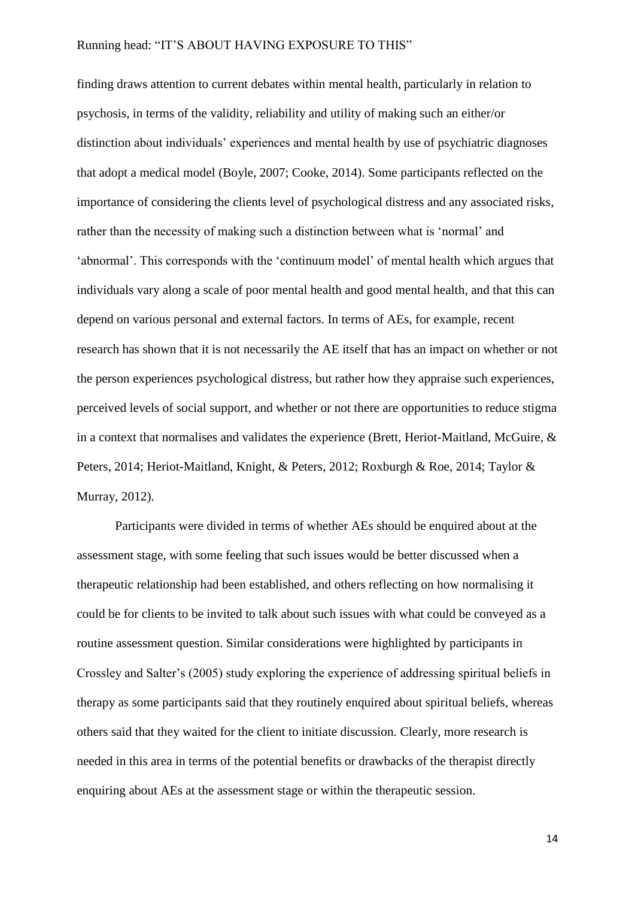finding draws attention to current debates within mental health, particularly in relation to psychosis, in terms of the validity, reliability and utility of making such an either/or distinction about individuals' experiences and mental health by use of psychiatric diagnoses that adopt a medical model (Boyle, 2007; Cooke, 2014). Some participants reflected on the importance of considering the clients level of psychological distress and any associated risks, rather than the necessity of making such a distinction between what is 'normal' and 'abnormal'. This corresponds with the 'continuum model' of mental health which argues that individuals vary along a scale of poor mental health and good mental health, and that this can depend on various personal and external factors. In terms of AEs, for example, recent research has shown that it is not necessarily the AE itself that has an impact on whether or not the person experiences psychological distress, but rather how they appraise such experiences, perceived levels of social support, and whether or not there are opportunities to reduce stigma in a context that normalises and validates the experience (Brett, Heriot-Maitland, McGuire, & Peters, 2014; Heriot-Maitland, Knight, & Peters, 2012; Roxburgh & Roe, 2014; Taylor & Murray, 2012).

Participants were divided in terms of whether AEs should be enquired about at the assessment stage, with some feeling that such issues would be better discussed when a therapeutic relationship had been established, and others reflecting on how normalising it could be for clients to be invited to talk about such issues with what could be conveyed as a routine assessment question. Similar considerations were highlighted by participants in Crossley and Salter's (2005) study exploring the experience of addressing spiritual beliefs in therapy as some participants said that they routinely enquired about spiritual beliefs, whereas others said that they waited for the client to initiate discussion. Clearly, more research is needed in this area in terms of the potential benefits or drawbacks of the therapist directly enquiring about AEs at the assessment stage or within the therapeutic session.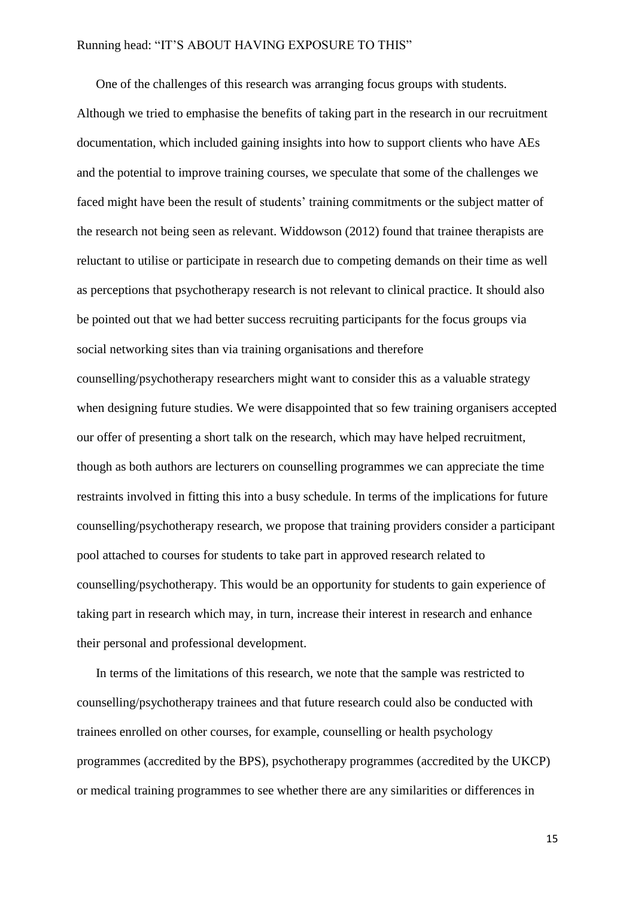One of the challenges of this research was arranging focus groups with students.

Although we tried to emphasise the benefits of taking part in the research in our recruitment documentation, which included gaining insights into how to support clients who have AEs and the potential to improve training courses, we speculate that some of the challenges we faced might have been the result of students' training commitments or the subject matter of the research not being seen as relevant. Widdowson (2012) found that trainee therapists are reluctant to utilise or participate in research due to competing demands on their time as well as perceptions that psychotherapy research is not relevant to clinical practice. It should also be pointed out that we had better success recruiting participants for the focus groups via social networking sites than via training organisations and therefore

counselling/psychotherapy researchers might want to consider this as a valuable strategy when designing future studies. We were disappointed that so few training organisers accepted our offer of presenting a short talk on the research, which may have helped recruitment, though as both authors are lecturers on counselling programmes we can appreciate the time restraints involved in fitting this into a busy schedule. In terms of the implications for future counselling/psychotherapy research, we propose that training providers consider a participant pool attached to courses for students to take part in approved research related to counselling/psychotherapy. This would be an opportunity for students to gain experience of taking part in research which may, in turn, increase their interest in research and enhance their personal and professional development.

In terms of the limitations of this research, we note that the sample was restricted to counselling/psychotherapy trainees and that future research could also be conducted with trainees enrolled on other courses, for example, counselling or health psychology programmes (accredited by the BPS), psychotherapy programmes (accredited by the UKCP) or medical training programmes to see whether there are any similarities or differences in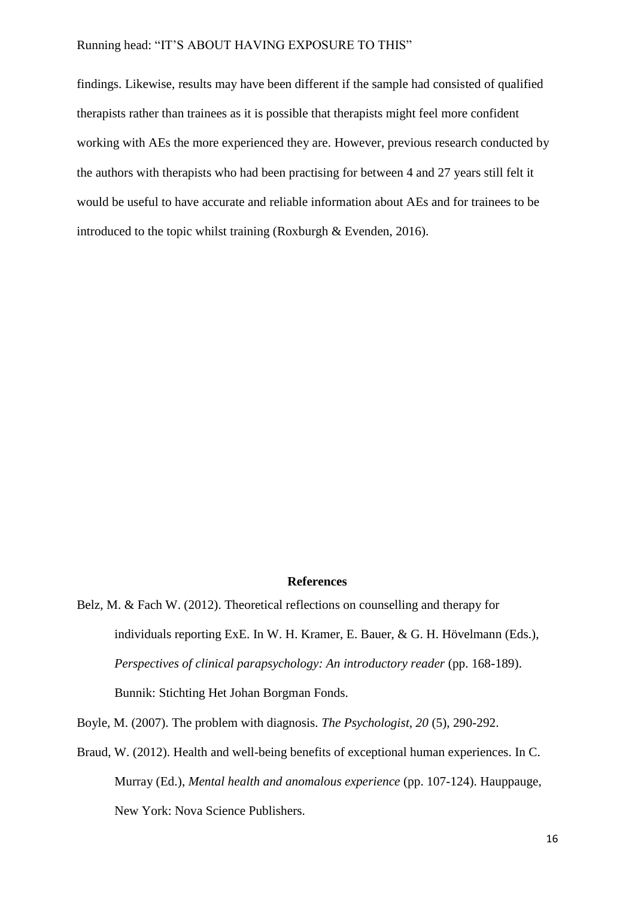findings. Likewise, results may have been different if the sample had consisted of qualified therapists rather than trainees as it is possible that therapists might feel more confident working with AEs the more experienced they are. However, previous research conducted by the authors with therapists who had been practising for between 4 and 27 years still felt it would be useful to have accurate and reliable information about AEs and for trainees to be introduced to the topic whilst training (Roxburgh & Evenden, 2016).

### **References**

Belz, M. & Fach W. (2012). Theoretical reflections on counselling and therapy for individuals reporting ExE. In W. H. Kramer, E. Bauer, & G. H. Hövelmann (Eds.), *Perspectives of clinical parapsychology: An introductory reader (pp. 168-189).* Bunnik: Stichting Het Johan Borgman Fonds.

Boyle, M. (2007). The problem with diagnosis. *The Psychologist, 20* (5), 290-292.

Braud, W. (2012). Health and well-being benefits of exceptional human experiences. In C. Murray (Ed.), *Mental health and anomalous experience* (pp. 107-124). Hauppauge, New York: Nova Science Publishers.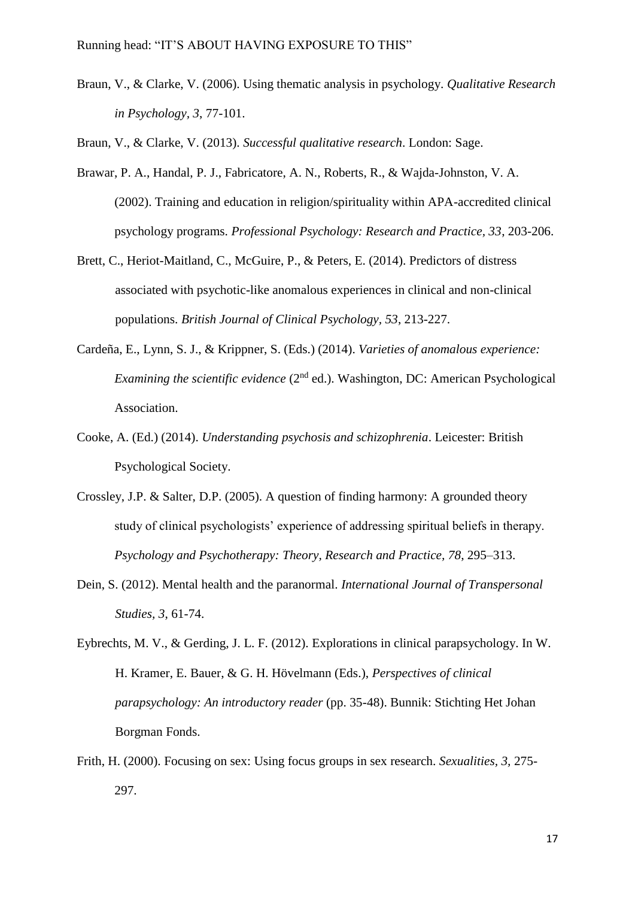Braun, V., & Clarke, V. (2006). Using thematic analysis in psychology. *Qualitative Research in Psychology, 3*, 77-101.

Braun, V., & Clarke, V. (2013). *Successful qualitative research*. London: Sage.

- Brawar, P. A., Handal, P. J., Fabricatore, A. N., Roberts, R., & Wajda-Johnston, V. A. (2002). Training and education in religion/spirituality within APA-accredited clinical psychology programs. *Professional Psychology: Research and Practice, 33*, 203-206.
- Brett, C., Heriot-Maitland, C., McGuire, P., & Peters, E. (2014). Predictors of distress associated with psychotic-like anomalous experiences in clinical and non-clinical populations. *British Journal of Clinical Psychology, 53*, 213-227.
- Cardeña, E., Lynn, S. J., & Krippner, S. (Eds.) (2014). *Varieties of anomalous experience: Examining the scientific evidence* (2<sup>nd</sup> ed.). Washington, DC: American Psychological Association.
- Cooke, A. (Ed.) (2014). *Understanding psychosis and schizophrenia*. Leicester: British Psychological Society.
- Crossley, J.P. & Salter, D.P. (2005). A question of finding harmony: A grounded theory study of clinical psychologists' experience of addressing spiritual beliefs in therapy. *Psychology and Psychotherapy: Theory, Research and Practice, 78*, 295–313.
- Dein, S. (2012). Mental health and the paranormal. *International Journal of Transpersonal Studies, 3*, 61-74.
- Eybrechts, M. V., & Gerding, J. L. F. (2012). Explorations in clinical parapsychology. In W. H. Kramer, E. Bauer, & G. H. Hövelmann (Eds.), *Perspectives of clinical parapsychology: An introductory reader* (pp. 35-48). Bunnik: Stichting Het Johan Borgman Fonds.
- Frith, H. (2000). Focusing on sex: Using focus groups in sex research. *Sexualities, 3,* 275- 297.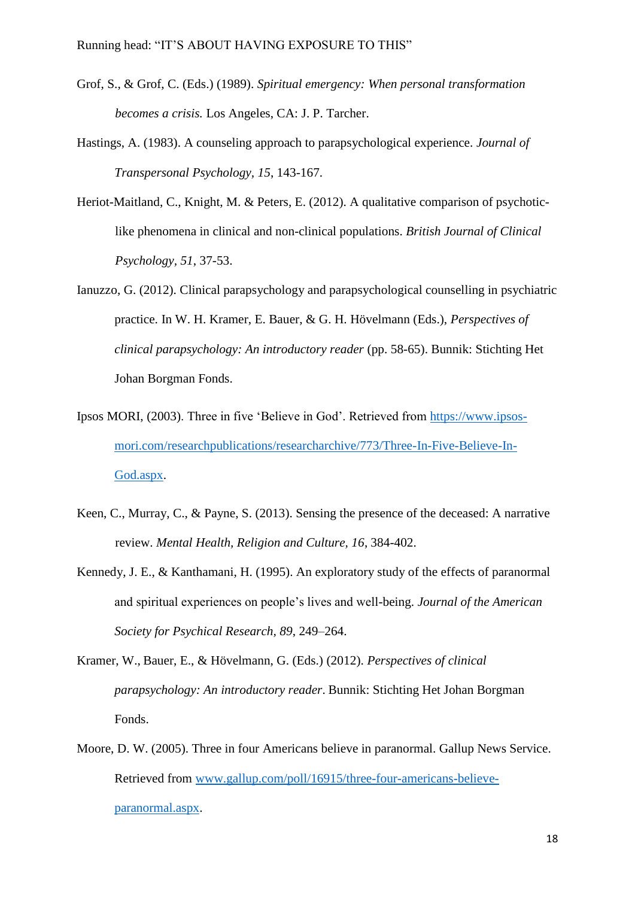- Grof, S., & Grof, C. (Eds.) (1989). *Spiritual emergency: When personal transformation becomes a crisis.* Los Angeles, CA: J. P. Tarcher.
- Hastings, A. (1983). A counseling approach to parapsychological experience. *Journal of Transpersonal Psychology, 15*, 143-167.
- Heriot-Maitland, C., Knight, M. & Peters, E. (2012). A qualitative comparison of psychoticlike phenomena in clinical and non-clinical populations. *British Journal of Clinical Psychology, 51*, 37-53.
- Ianuzzo, G. (2012). Clinical parapsychology and parapsychological counselling in psychiatric practice. In W. H. Kramer, E. Bauer, & G. H. Hövelmann (Eds.), *Perspectives of clinical parapsychology: An introductory reader* (pp. 58-65). Bunnik: Stichting Het Johan Borgman Fonds.
- Ipsos MORI, (2003). Three in five 'Believe in God'. Retrieved from [https://www.ipsos](https://www.ipsos-mori.com/researchpublications/researcharchive/773/Three-In-Five-Believe-In-God.aspx)[mori.com/researchpublications/researcharchive/773/Three-In-Five-Believe-In-](https://www.ipsos-mori.com/researchpublications/researcharchive/773/Three-In-Five-Believe-In-God.aspx)[God.aspx.](https://www.ipsos-mori.com/researchpublications/researcharchive/773/Three-In-Five-Believe-In-God.aspx)
- Keen, C., Murray, C., & Payne, S. (2013). Sensing the presence of the deceased: A narrative review. *Mental Health, Religion and Culture, 16*, 384-402.
- Kennedy, J. E., & Kanthamani, H. (1995). An exploratory study of the effects of paranormal and spiritual experiences on people's lives and well-being. *Journal of the American Society for Psychical Research, 89*, 249–264.
- Kramer, W., Bauer, E., & Hövelmann, G. (Eds.) (2012). *Perspectives of clinical parapsychology: An introductory reader*. Bunnik: Stichting Het Johan Borgman Fonds.
- Moore, D. W. (2005). Three in four Americans believe in paranormal. Gallup News Service. Retrieved from [www.gallup.com/poll/16915/three-four-americans-believe](http://www.gallup.com/poll/16915/three-four-americans-believe-paranormal.aspx)[paranormal.aspx.](http://www.gallup.com/poll/16915/three-four-americans-believe-paranormal.aspx)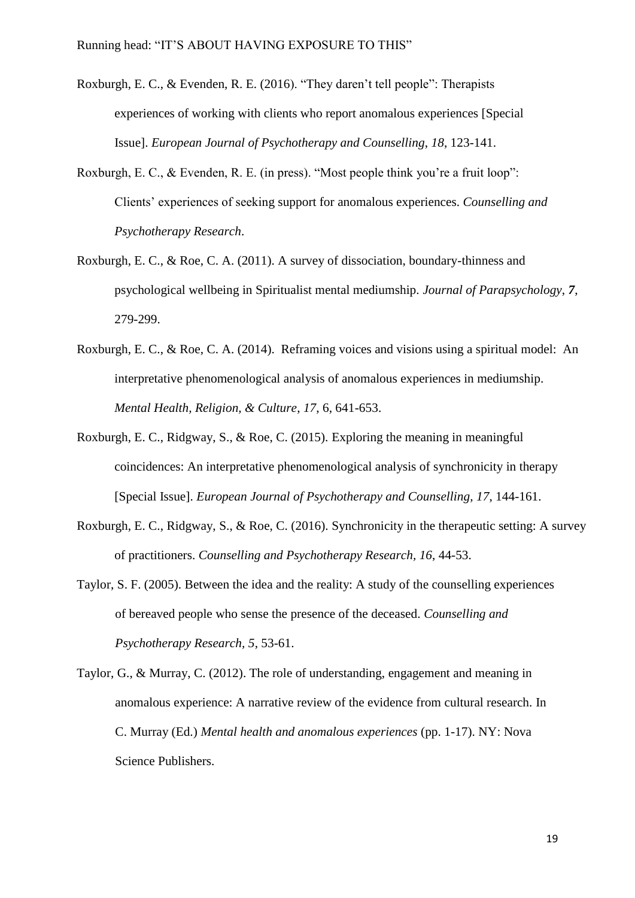- Roxburgh, E. C., & Evenden, R. E. (2016). "They daren't tell people": Therapists experiences of working with clients who report anomalous experiences [Special Issue]. *European Journal of Psychotherapy and Counselling*, *18*, 123-141.
- Roxburgh, E. C., & Evenden, R. E. (in press). "Most people think you're a fruit loop": Clients' experiences of seeking support for anomalous experiences. *Counselling and Psychotherapy Research*.
- Roxburgh, E. C., & Roe, C. A. (2011). A survey of dissociation, boundary-thinness and psychological wellbeing in Spiritualist mental mediumship. *Journal of Parapsychology*, *7*, 279-299.
- Roxburgh, E. C., & Roe, C. A. (2014). Reframing voices and visions using a spiritual model: An interpretative phenomenological analysis of anomalous experiences in mediumship. *Mental Health, Religion, & Culture*, *17*, 6, 641-653.
- Roxburgh, E. C., Ridgway, S., & Roe, C. (2015). Exploring the meaning in meaningful coincidences: An interpretative phenomenological analysis of synchronicity in therapy [Special Issue]. *European Journal of Psychotherapy and Counselling, 17*, 144-161.
- Roxburgh, E. C., Ridgway, S., & Roe, C. (2016). Synchronicity in the therapeutic setting: A survey of practitioners. *Counselling and Psychotherapy Research, 16*, 44-53.
- Taylor, S. F. (2005). Between the idea and the reality: A study of the counselling experiences of bereaved people who sense the presence of the deceased. *Counselling and Psychotherapy Research, 5*, 53-61.
- Taylor, G., & Murray, C. (2012). The role of understanding, engagement and meaning in anomalous experience: A narrative review of the evidence from cultural research. In C. Murray (Ed.) *Mental health and anomalous experiences* (pp. 1-17). NY: Nova Science Publishers.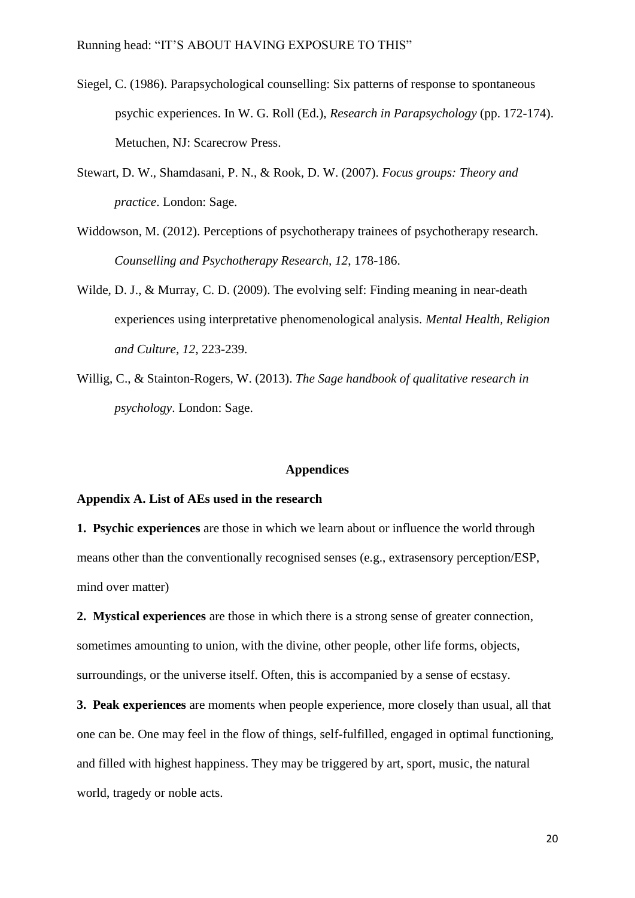- Siegel, C. (1986). Parapsychological counselling: Six patterns of response to spontaneous psychic experiences. In W. G. Roll (Ed.), *Research in Parapsychology* (pp. 172-174). Metuchen, NJ: Scarecrow Press.
- Stewart, D. W., Shamdasani, P. N., & Rook, D. W. (2007). *Focus groups: Theory and practice*. London: Sage.
- Widdowson, M. (2012). Perceptions of psychotherapy trainees of psychotherapy research. *Counselling and Psychotherapy Research, 12*, 178-186.
- Wilde, D. J., & Murray, C. D. (2009). The evolving self: Finding meaning in near-death experiences using interpretative phenomenological analysis. *Mental Health, Religion and Culture, 12*, 223-239.
- Willig, C., & Stainton-Rogers, W. (2013). *The Sage handbook of qualitative research in psychology*. London: Sage.

#### **Appendices**

## **Appendix A. List of AEs used in the research**

**1. Psychic experiences** are those in which we learn about or influence the world through means other than the conventionally recognised senses (e.g., extrasensory perception/ESP, mind over matter)

**2. Mystical experiences** are those in which there is a strong sense of greater connection, sometimes amounting to union, with the divine, other people, other life forms, objects, surroundings, or the universe itself. Often, this is accompanied by a sense of ecstasy.

**3. Peak experiences** are moments when people experience, more closely than usual, all that one can be. One may feel in the flow of things, self-fulfilled, engaged in optimal functioning, and filled with highest happiness. They may be triggered by art, sport, music, the natural world, tragedy or noble acts.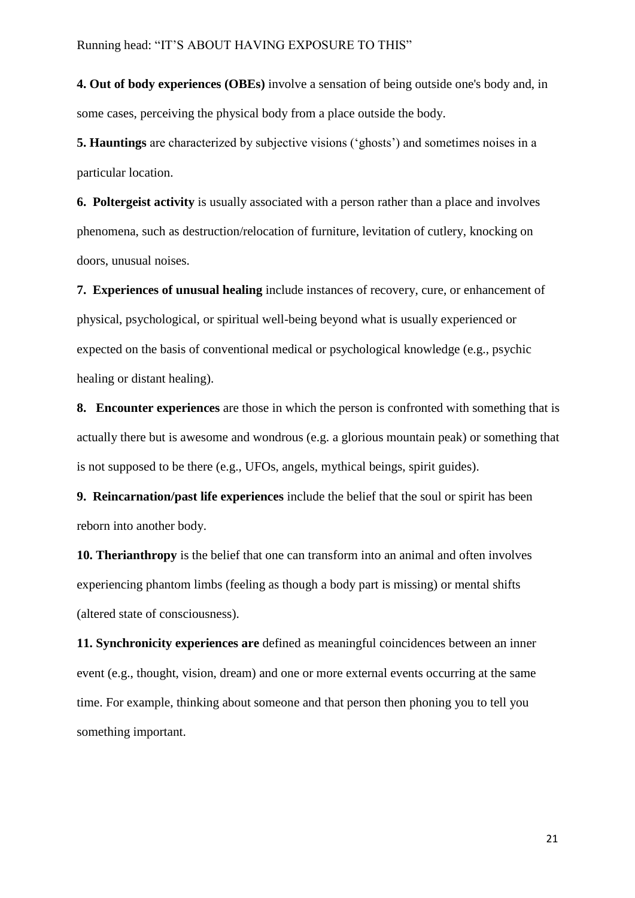**4. Out of body experiences (OBEs)** involve a sensation of being outside one's body and, in some cases, perceiving the physical body from a place outside the body.

**5. Hauntings** are characterized by subjective visions ('ghosts') and sometimes noises in a particular location.

**6. Poltergeist activity** is usually associated with a person rather than a place and involves phenomena, such as destruction/relocation of furniture, levitation of cutlery, knocking on doors, unusual noises.

**7. Experiences of unusual healing** include instances of recovery, cure, or enhancement of physical, psychological, or spiritual well-being beyond what is usually experienced or expected on the basis of conventional medical or psychological knowledge (e.g., psychic healing or distant healing).

**8. Encounter experiences** are those in which the person is confronted with something that is actually there but is awesome and wondrous (e.g. a glorious mountain peak) or something that is not supposed to be there (e.g., UFOs, angels, mythical beings, spirit guides).

**9. Reincarnation/past life experiences** include the belief that the soul or spirit has been reborn into another body.

**10. Therianthropy** is the belief that one can transform into an animal and often involves experiencing phantom limbs (feeling as though a body part is missing) or mental shifts (altered state of consciousness).

**11. Synchronicity experiences are** defined as meaningful coincidences between an inner event (e.g., thought, vision, dream) and one or more external events occurring at the same time. For example, thinking about someone and that person then phoning you to tell you something important.